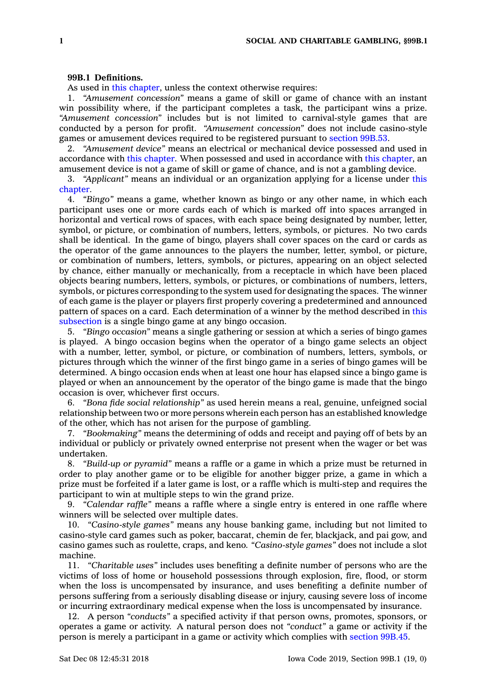## **99B.1 Definitions.**

As used in this [chapter](https://www.legis.iowa.gov/docs/code//99B.pdf), unless the context otherwise requires:

1. *"Amusement concession"* means <sup>a</sup> game of skill or game of chance with an instant win possibility where, if the participant completes <sup>a</sup> task, the participant wins <sup>a</sup> prize. *"Amusement concession"* includes but is not limited to carnival-style games that are conducted by <sup>a</sup> person for profit. *"Amusement concession"* does not include casino-style games or amusement devices required to be registered pursuant to [section](https://www.legis.iowa.gov/docs/code/99B.53.pdf) 99B.53.

2. *"Amusement device"* means an electrical or mechanical device possessed and used in accordance with this [chapter](https://www.legis.iowa.gov/docs/code//99B.pdf). When possessed and used in accordance with this [chapter](https://www.legis.iowa.gov/docs/code//99B.pdf), an amusement device is not <sup>a</sup> game of skill or game of chance, and is not <sup>a</sup> gambling device.

3. *"Applicant"* means an individual or an organization applying for <sup>a</sup> license under [this](https://www.legis.iowa.gov/docs/code//99B.pdf) [chapter](https://www.legis.iowa.gov/docs/code//99B.pdf).

4. *"Bingo"* means <sup>a</sup> game, whether known as bingo or any other name, in which each participant uses one or more cards each of which is marked off into spaces arranged in horizontal and vertical rows of spaces, with each space being designated by number, letter, symbol, or picture, or combination of numbers, letters, symbols, or pictures. No two cards shall be identical. In the game of bingo, players shall cover spaces on the card or cards as the operator of the game announces to the players the number, letter, symbol, or picture, or combination of numbers, letters, symbols, or pictures, appearing on an object selected by chance, either manually or mechanically, from <sup>a</sup> receptacle in which have been placed objects bearing numbers, letters, symbols, or pictures, or combinations of numbers, letters, symbols, or pictures corresponding to the system used for designating the spaces. The winner of each game is the player or players first properly covering <sup>a</sup> predetermined and announced pattern of spaces on <sup>a</sup> card. Each determination of <sup>a</sup> winner by the method described in [this](https://www.legis.iowa.gov/docs/code/99B.1.pdf) [subsection](https://www.legis.iowa.gov/docs/code/99B.1.pdf) is <sup>a</sup> single bingo game at any bingo occasion.

5. *"Bingo occasion"* means <sup>a</sup> single gathering or session at which <sup>a</sup> series of bingo games is played. A bingo occasion begins when the operator of <sup>a</sup> bingo game selects an object with <sup>a</sup> number, letter, symbol, or picture, or combination of numbers, letters, symbols, or pictures through which the winner of the first bingo game in <sup>a</sup> series of bingo games will be determined. A bingo occasion ends when at least one hour has elapsed since <sup>a</sup> bingo game is played or when an announcement by the operator of the bingo game is made that the bingo occasion is over, whichever first occurs.

6. *"Bona fide social relationship"* as used herein means <sup>a</sup> real, genuine, unfeigned social relationship between two or more persons wherein each person has an established knowledge of the other, which has not arisen for the purpose of gambling.

7. *"Bookmaking"* means the determining of odds and receipt and paying off of bets by an individual or publicly or privately owned enterprise not present when the wager or bet was undertaken.

8. *"Build-up or pyramid"* means <sup>a</sup> raffle or <sup>a</sup> game in which <sup>a</sup> prize must be returned in order to play another game or to be eligible for another bigger prize, <sup>a</sup> game in which <sup>a</sup> prize must be forfeited if <sup>a</sup> later game is lost, or <sup>a</sup> raffle which is multi-step and requires the participant to win at multiple steps to win the grand prize.

9. *"Calendar raffle"* means <sup>a</sup> raffle where <sup>a</sup> single entry is entered in one raffle where winners will be selected over multiple dates.

10. *"Casino-style games"* means any house banking game, including but not limited to casino-style card games such as poker, baccarat, chemin de fer, blackjack, and pai gow, and casino games such as roulette, craps, and keno. *"Casino-style games"* does not include <sup>a</sup> slot machine.

11. *"Charitable uses"* includes uses benefiting <sup>a</sup> definite number of persons who are the victims of loss of home or household possessions through explosion, fire, flood, or storm when the loss is uncompensated by insurance, and uses benefiting <sup>a</sup> definite number of persons suffering from <sup>a</sup> seriously disabling disease or injury, causing severe loss of income or incurring extraordinary medical expense when the loss is uncompensated by insurance.

12. A person *"conducts"* <sup>a</sup> specified activity if that person owns, promotes, sponsors, or operates <sup>a</sup> game or activity. A natural person does not *"conduct"* <sup>a</sup> game or activity if the person is merely <sup>a</sup> participant in <sup>a</sup> game or activity which complies with [section](https://www.legis.iowa.gov/docs/code/99B.45.pdf) 99B.45.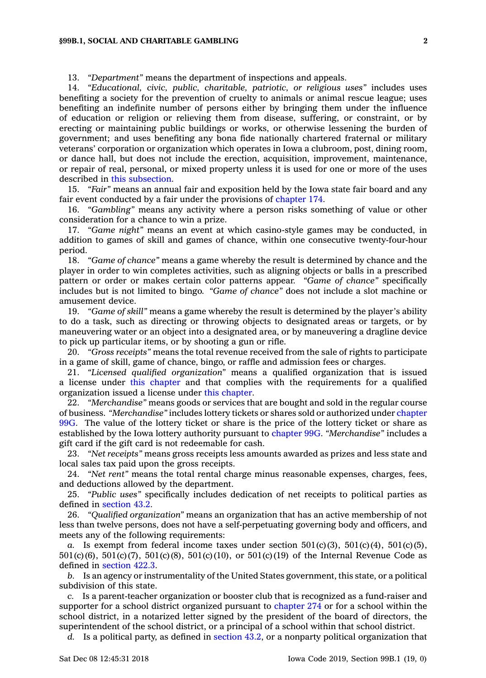13. *"Department"* means the department of inspections and appeals.

14. *"Educational, civic, public, charitable, patriotic, or religious uses"* includes uses benefiting <sup>a</sup> society for the prevention of cruelty to animals or animal rescue league; uses benefiting an indefinite number of persons either by bringing them under the influence of education or religion or relieving them from disease, suffering, or constraint, or by erecting or maintaining public buildings or works, or otherwise lessening the burden of government; and uses benefiting any bona fide nationally chartered fraternal or military veterans' corporation or organization which operates in Iowa <sup>a</sup> clubroom, post, dining room, or dance hall, but does not include the erection, acquisition, improvement, maintenance, or repair of real, personal, or mixed property unless it is used for one or more of the uses described in this [subsection](https://www.legis.iowa.gov/docs/code/99B.1.pdf).

15. *"Fair"* means an annual fair and exposition held by the Iowa state fair board and any fair event conducted by <sup>a</sup> fair under the provisions of [chapter](https://www.legis.iowa.gov/docs/code//174.pdf) 174.

16. *"Gambling"* means any activity where <sup>a</sup> person risks something of value or other consideration for <sup>a</sup> chance to win <sup>a</sup> prize.

17. *"Game night"* means an event at which casino-style games may be conducted, in addition to games of skill and games of chance, within one consecutive twenty-four-hour period.

18. *"Game of chance"* means <sup>a</sup> game whereby the result is determined by chance and the player in order to win completes activities, such as aligning objects or balls in <sup>a</sup> prescribed pattern or order or makes certain color patterns appear. *"Game of chance"* specifically includes but is not limited to bingo. *"Game of chance"* does not include <sup>a</sup> slot machine or amusement device.

19. *"Game of skill"* means <sup>a</sup> game whereby the result is determined by the player's ability to do <sup>a</sup> task, such as directing or throwing objects to designated areas or targets, or by maneuvering water or an object into <sup>a</sup> designated area, or by maneuvering <sup>a</sup> dragline device to pick up particular items, or by shooting <sup>a</sup> gun or rifle.

20. *"Gross receipts"* means the total revenue received from the sale of rights to participate in <sup>a</sup> game of skill, game of chance, bingo, or raffle and admission fees or charges.

21. *"Licensed qualified organization"* means <sup>a</sup> qualified organization that is issued <sup>a</sup> license under this [chapter](https://www.legis.iowa.gov/docs/code//99B.pdf) and that complies with the requirements for <sup>a</sup> qualified organization issued <sup>a</sup> license under this [chapter](https://www.legis.iowa.gov/docs/code//99B.pdf).

22. *"Merchandise"* means goods or services that are bought and sold in the regular course of business. *"Merchandise"* includes lottery tickets or shares sold or authorized under [chapter](https://www.legis.iowa.gov/docs/code//99G.pdf) [99G](https://www.legis.iowa.gov/docs/code//99G.pdf). The value of the lottery ticket or share is the price of the lottery ticket or share as established by the Iowa lottery authority pursuant to [chapter](https://www.legis.iowa.gov/docs/code//99G.pdf) 99G. *"Merchandise"* includes <sup>a</sup> gift card if the gift card is not redeemable for cash.

23. *"Net receipts"* means gross receipts less amounts awarded as prizes and less state and local sales tax paid upon the gross receipts.

24. *"Net rent"* means the total rental charge minus reasonable expenses, charges, fees, and deductions allowed by the department.

25. *"Public uses"* specifically includes dedication of net receipts to political parties as defined in [section](https://www.legis.iowa.gov/docs/code/43.2.pdf) 43.2.

26. *"Qualified organization"* means an organization that has an active membership of not less than twelve persons, does not have <sup>a</sup> self-perpetuating governing body and officers, and meets any of the following requirements:

*a.* Is exempt from federal income taxes under section  $501(c)(3)$ ,  $501(c)(4)$ ,  $501(c)(5)$ , 501(c)(6), 501(c)(7), 501(c)(8), 501(c)(10), or 501(c)(19) of the Internal Revenue Code as defined in [section](https://www.legis.iowa.gov/docs/code/422.3.pdf) 422.3.

*b.* Is an agency or instrumentality of the United States government, this state, or <sup>a</sup> political subdivision of this state.

*c.* Is <sup>a</sup> parent-teacher organization or booster club that is recognized as <sup>a</sup> fund-raiser and supporter for <sup>a</sup> school district organized pursuant to [chapter](https://www.legis.iowa.gov/docs/code//274.pdf) 274 or for <sup>a</sup> school within the school district, in <sup>a</sup> notarized letter signed by the president of the board of directors, the superintendent of the school district, or <sup>a</sup> principal of <sup>a</sup> school within that school district.

*d.* Is <sup>a</sup> political party, as defined in [section](https://www.legis.iowa.gov/docs/code/43.2.pdf) 43.2, or <sup>a</sup> nonparty political organization that